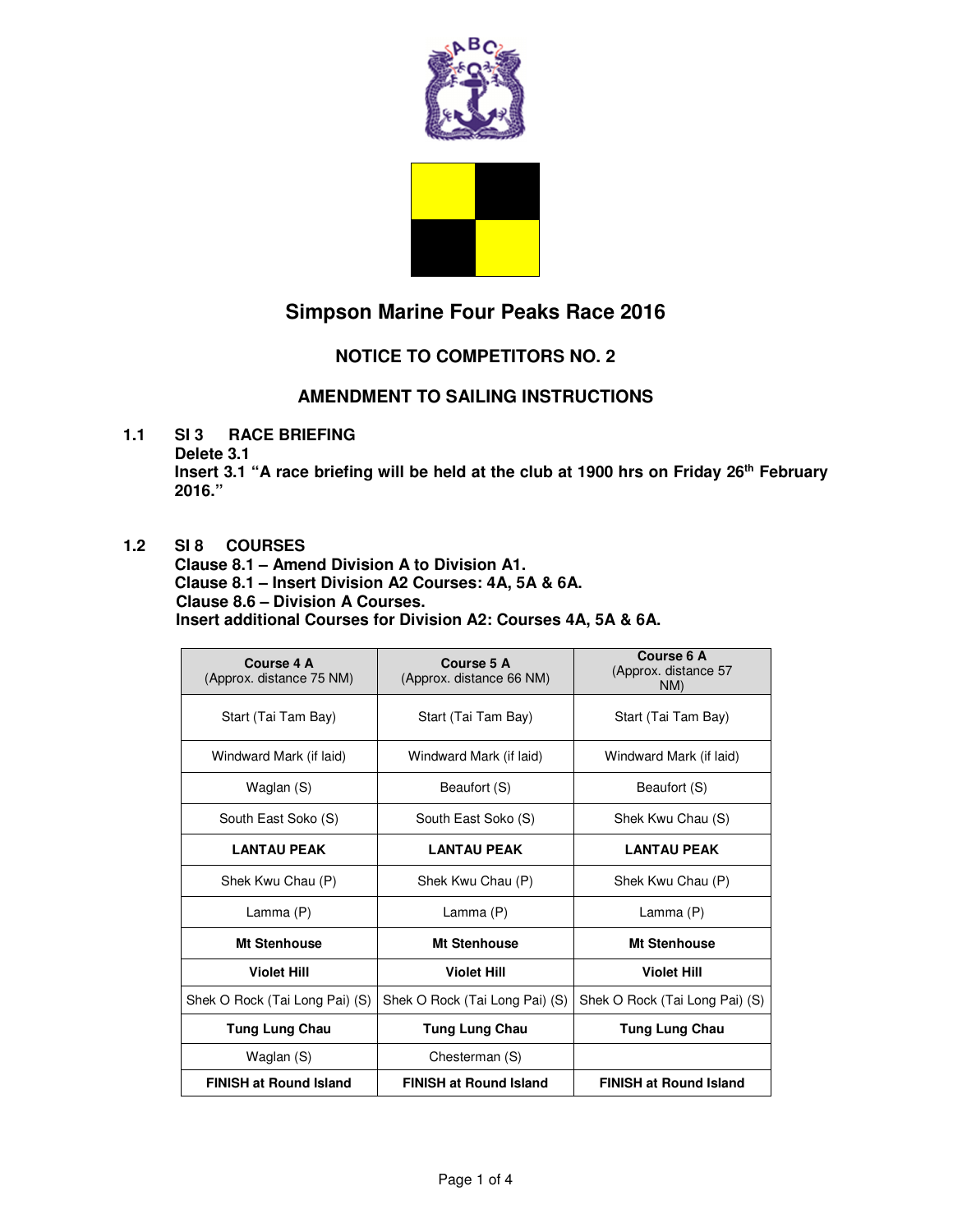

# **Simpson Marine Four Peaks Race 2016**

## **NOTICE TO COMPETITORS NO. 2**

### **AMENDMENT TO SAILING INSTRUCTIONS**

**1.1 SI3 RACE BRIEFING** 

**Delete 3.1** 

**Insert 3.1 "A race briefing will be held at the club at 1900 hrs on Friday 26th February 2016."** 

#### **1.2 SI 8 COURSES**

**Clause 8.1 – Amend Division A to Division A1. Clause 8.1 – Insert Division A2 Courses: 4A, 5A & 6A. Clause 8.6 – Division A Courses.** 

**Insert additional Courses for Division A2: Courses 4A, 5A & 6A.** 

| Course 4 A<br>(Approx. distance 75 NM) | Course 5 A<br>(Approx. distance 66 NM) | Course 6 A<br>(Approx. distance 57<br>NM) |
|----------------------------------------|----------------------------------------|-------------------------------------------|
| Start (Tai Tam Bay)                    | Start (Tai Tam Bay)                    | Start (Tai Tam Bay)                       |
| Windward Mark (if laid)                | Windward Mark (if laid)                | Windward Mark (if laid)                   |
| Waglan (S)                             | Beaufort (S)                           | Beaufort (S)                              |
| South East Soko (S)                    | South East Soko (S)                    | Shek Kwu Chau (S)                         |
| <b>LANTAU PEAK</b>                     | <b>LANTAU PEAK</b>                     | <b>LANTAU PEAK</b>                        |
| Shek Kwu Chau (P)                      | Shek Kwu Chau (P)                      | Shek Kwu Chau (P)                         |
| Lamma (P)                              | Lamma (P)                              | Lamma (P)                                 |
| Mt Stenhouse                           | <b>Mt Stenhouse</b>                    | Mt Stenhouse                              |
| <b>Violet Hill</b>                     | <b>Violet Hill</b>                     | <b>Violet Hill</b>                        |
| Shek O Rock (Tai Long Pai) (S)         | Shek O Rock (Tai Long Pai) (S)         | Shek O Rock (Tai Long Pai) (S)            |
| <b>Tung Lung Chau</b>                  | <b>Tung Lung Chau</b>                  | <b>Tung Lung Chau</b>                     |
| Waglan (S)                             | Chesterman (S)                         |                                           |
| <b>FINISH at Round Island</b>          | <b>FINISH at Round Island</b>          | <b>FINISH at Round Island</b>             |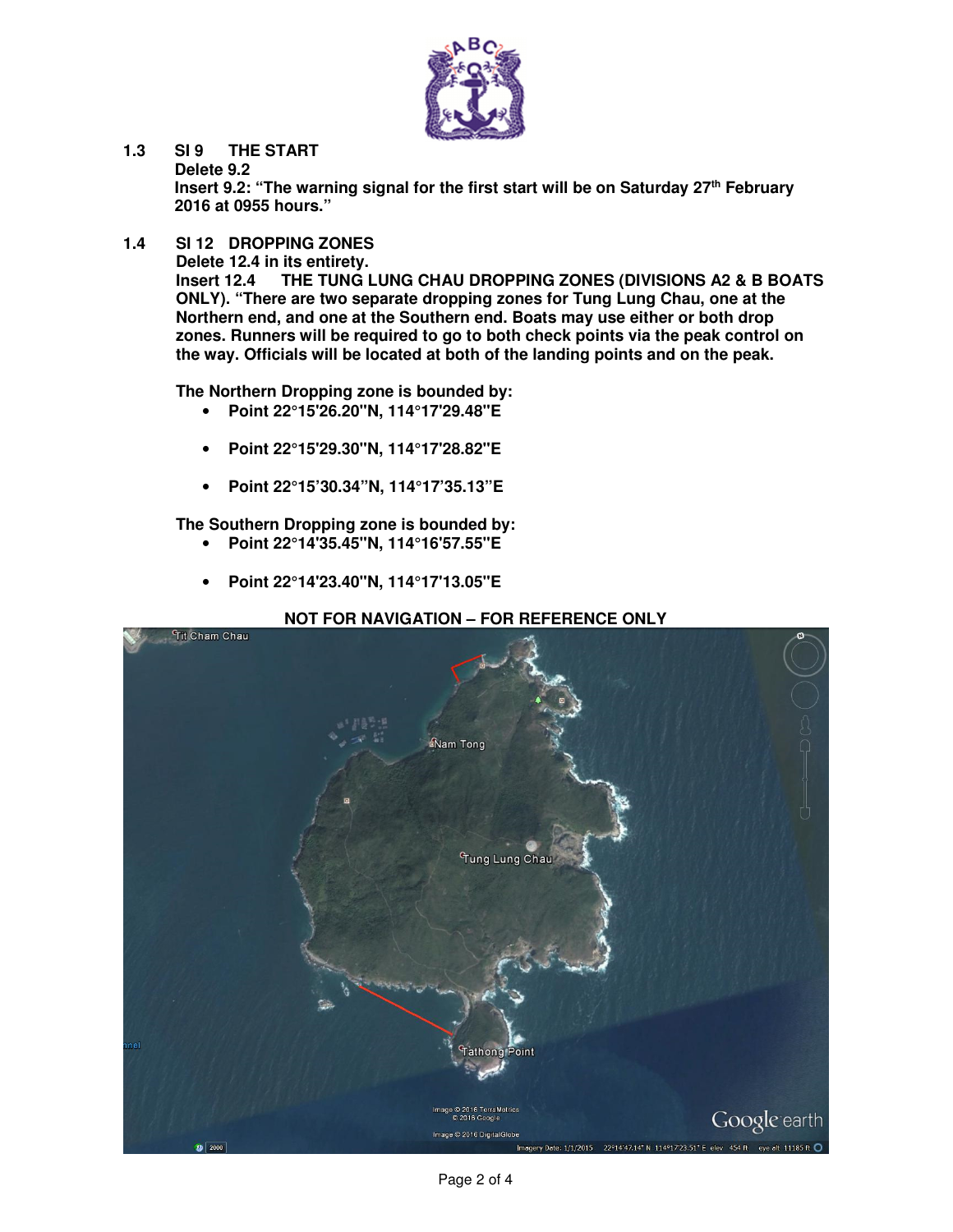

**1.3 SI 9 THE START Delete 9.2** 

**Insert 9.2: "The warning signal for the first start will be on Saturday 27th February 2016 at 0955 hours."** 

**1.4 SI 12 DROPPING ZONES** 

 **Delete 12.4 in its entirety.** 

 **Insert 12.4 THE TUNG LUNG CHAU DROPPING ZONES (DIVISIONS A2 & B BOATS ONLY). "There are two separate dropping zones for Tung Lung Chau, one at the Northern end, and one at the Southern end. Boats may use either or both drop zones. Runners will be required to go to both check points via the peak control on the way. Officials will be located at both of the landing points and on the peak.** 

 **The Northern Dropping zone is bounded by:** 

- **Point 22°15'26.20"N, 114°17'29.48"E**
- **Point 22°15'29.30"N, 114°17'28.82"E**
- **Point 22°15'30.34"N, 114°17'35.13"E**

**The Southern Dropping zone is bounded by:** 

- **Point 22°14'35.45"N, 114°16'57.55"E**
- **Point 22°14'23.40"N, 114°17'13.05"E**

#### **NOT FOR NAVIGATION – FOR REFERENCE ONLY**

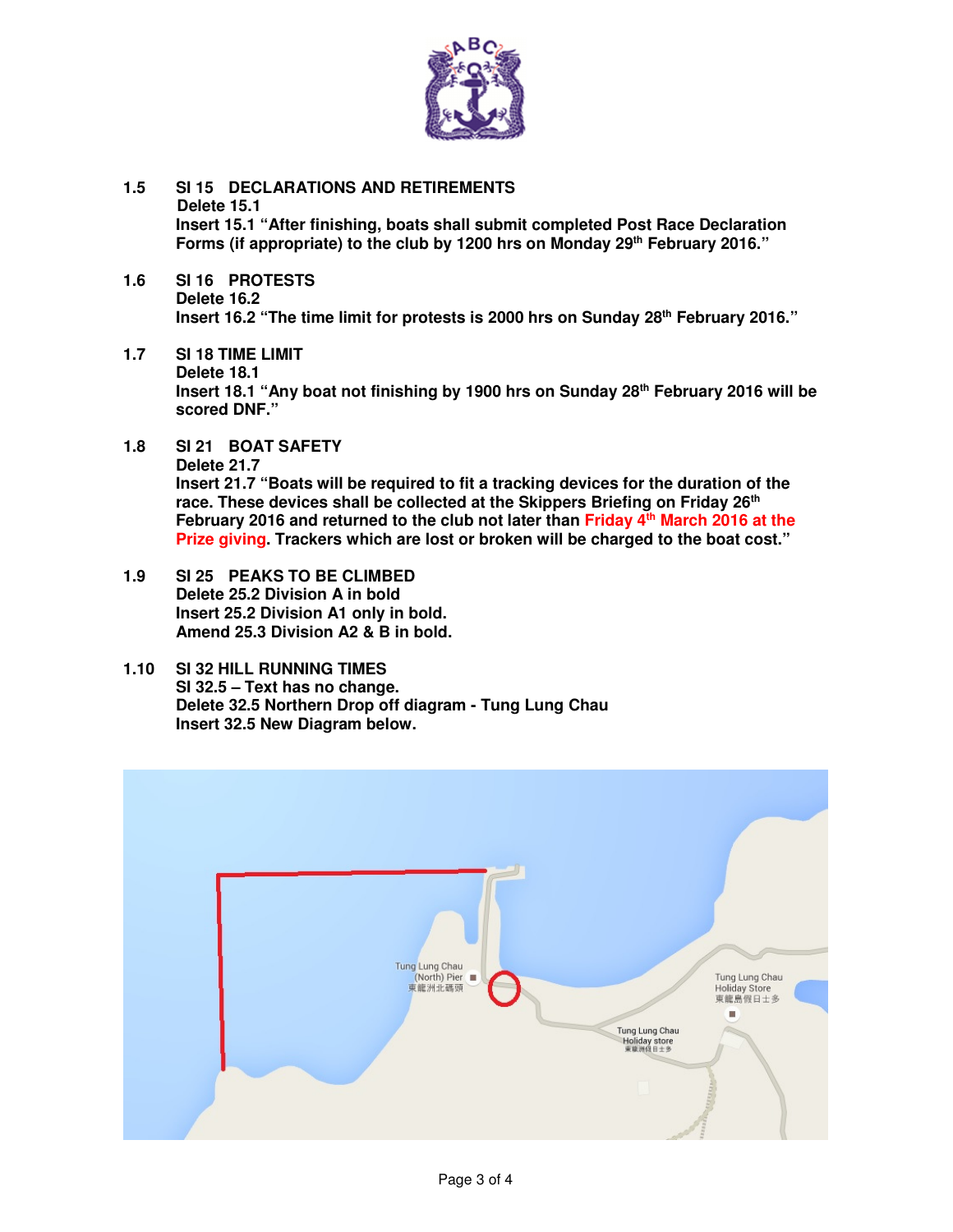

- **1.5 SI 15 DECLARATIONS AND RETIREMENTS Delete 15.1 Insert 15.1 "After finishing, boats shall submit completed Post Race Declaration Forms (if appropriate) to the club by 1200 hrs on Monday 29th February 2016."**
- **1.6 SI 16 PROTESTS Delete 16.2 Insert 16.2 "The time limit for protests is 2000 hrs on Sunday 28th February 2016."**
- **1.7 SI 18 TIME LIMIT Delete 18.1 Insert 18.1 "Any boat not finishing by 1900 hrs on Sunday 28th February 2016 will be scored DNF."**
- **1.8 SI 21 BOAT SAFETY Delete 21.7 Insert 21.7 "Boats will be required to fit a tracking devices for the duration of the race. These devices shall be collected at the Skippers Briefing on Friday 26th February 2016 and returned to the club not later than Friday 4th March 2016 at the Prize giving. Trackers which are lost or broken will be charged to the boat cost."**
- **1.9 SI 25 PEAKS TO BE CLIMBED Delete 25.2 Division A in bold Insert 25.2 Division A1 only in bold. Amend 25.3 Division A2 & B in bold.**
- **1.10 SI 32 HILL RUNNING TIMES SI 32.5 – Text has no change. Delete 32.5 Northern Drop off diagram - Tung Lung Chau Insert 32.5 New Diagram below.**